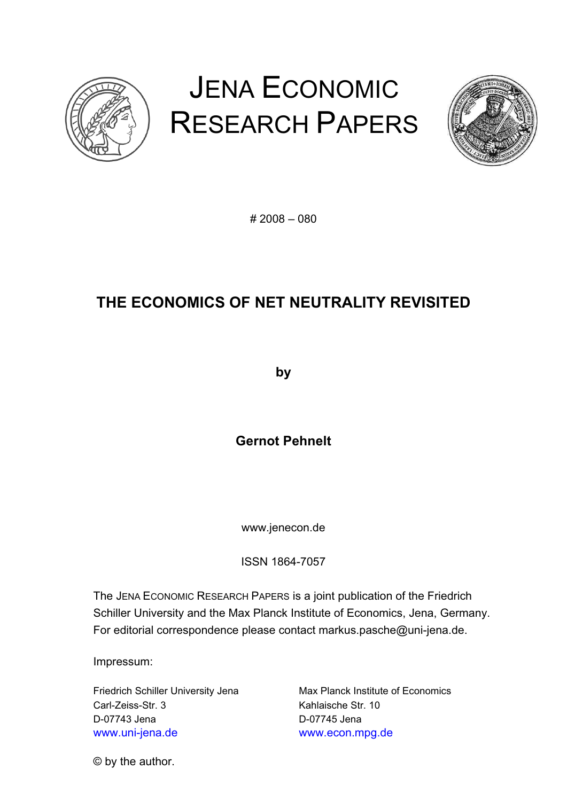

# JENA ECONOMIC RESEARCH PAPERS



# 2008 – 080

# **THE ECONOMICS OF NET NEUTRALITY REVISITED**

**by** 

**Gernot Pehnelt** 

www.jenecon.de

ISSN 1864-7057

The JENA ECONOMIC RESEARCH PAPERS is a joint publication of the Friedrich Schiller University and the Max Planck Institute of Economics, Jena, Germany. For editorial correspondence please contact markus.pasche@uni-jena.de.

Impressum:

Friedrich Schiller University Jena Max Planck Institute of Economics Carl-Zeiss-Str. 3 Kahlaische Str. 10 D-07743 Jena D-07745 Jena www.uni-jena.de www.econ.mpg.de

© by the author.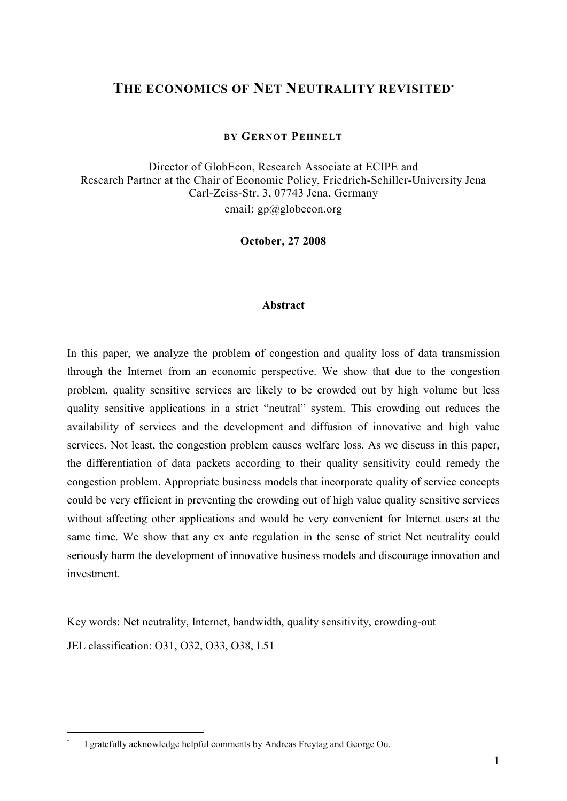### **THE ECONOMICS OF NET NEUTRALITY REVISITED<sup>∙</sup>**

#### **BY GERNOT PEHNELT**

Director of GlobEcon, Research Associate at ECIPE and Research Partner at the Chair of Economic Policy, Friedrich-Schiller-University Jena Carl-Zeiss-Str. 3, 07743 Jena, Germany email:  $gp@globecon.org$ 

**October, 27 2008** 

#### **Abstract**

In this paper, we analyze the problem of congestion and quality loss of data transmission through the Internet from an economic perspective. We show that due to the congestion problem, quality sensitive services are likely to be crowded out by high volume but less quality sensitive applications in a strict "neutral" system. This crowding out reduces the availability of services and the development and diffusion of innovative and high value services. Not least, the congestion problem causes welfare loss. As we discuss in this paper, the differentiation of data packets according to their quality sensitivity could remedy the congestion problem. Appropriate business models that incorporate quality of service concepts could be very efficient in preventing the crowding out of high value quality sensitive services without affecting other applications and would be very convenient for Internet users at the same time. We show that any ex ante regulation in the sense of strict Net neutrality could seriously harm the development of innovative business models and discourage innovation and investment.

Key words: Net neutrality, Internet, bandwidth, quality sensitivity, crowding-out JEL classification: O31, O32, O33, O38, L51

I gratefully acknowledge helpful comments by Andreas Freytag and George Ou.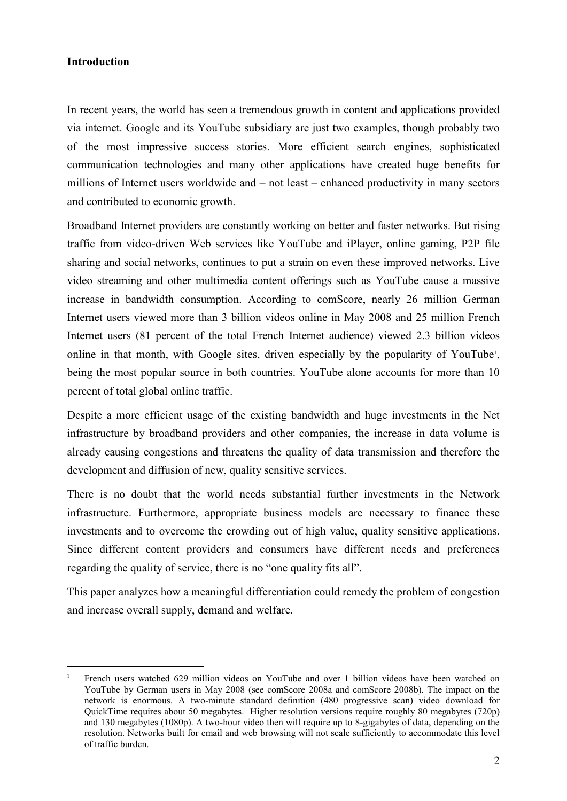#### **Introduction**

 $\overline{a}$ 

In recent years, the world has seen a tremendous growth in content and applications provided via internet. Google and its YouTube subsidiary are just two examples, though probably two of the most impressive success stories. More efficient search engines, sophisticated communication technologies and many other applications have created huge benefits for millions of Internet users worldwide and – not least – enhanced productivity in many sectors and contributed to economic growth.

Broadband Internet providers are constantly working on better and faster networks. But rising traffic from video-driven Web services like YouTube and iPlayer, online gaming, P2P file sharing and social networks, continues to put a strain on even these improved networks. Live video streaming and other multimedia content offerings such as YouTube cause a massive increase in bandwidth consumption. According to comScore, nearly 26 million German Internet users viewed more than 3 billion videos online in May 2008 and 25 million French Internet users (81 percent of the total French Internet audience) viewed 2.3 billion videos online in that month, with Google sites, driven especially by the popularity of YouTube , being the most popular source in both countries. YouTube alone accounts for more than 10 percent of total global online traffic.

Despite a more efficient usage of the existing bandwidth and huge investments in the Net infrastructure by broadband providers and other companies, the increase in data volume is already causing congestions and threatens the quality of data transmission and therefore the development and diffusion of new, quality sensitive services.

There is no doubt that the world needs substantial further investments in the Network infrastructure. Furthermore, appropriate business models are necessary to finance these investments and to overcome the crowding out of high value, quality sensitive applications. Since different content providers and consumers have different needs and preferences regarding the quality of service, there is no "one quality fits all".

This paper analyzes how a meaningful differentiation could remedy the problem of congestion and increase overall supply, demand and welfare.

 $\overline{1}$  French users watched 629 million videos on YouTube and over 1 billion videos have been watched on YouTube by German users in May 2008 (see comScore 2008a and comScore 2008b). The impact on the network is enormous. A two-minute standard definition (480 progressive scan) video download for QuickTime requires about 50 megabytes. Higher resolution versions require roughly 80 megabytes (720p) and 130 megabytes (1080p). A two-hour video then will require up to 8-gigabytes of data, depending on the resolution. Networks built for email and web browsing will not scale sufficiently to accommodate this level of traffic burden.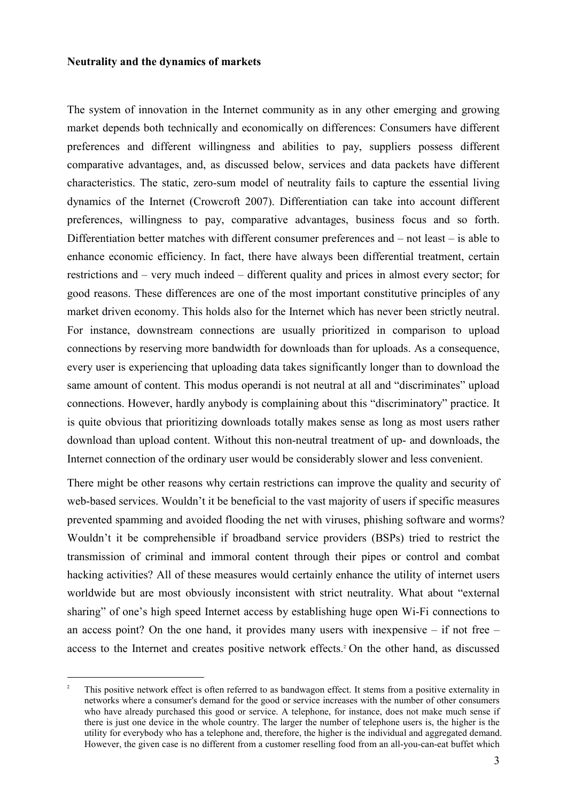#### **Neutrality and the dynamics of markets**

 $\overline{a}$ 

The system of innovation in the Internet community as in any other emerging and growing market depends both technically and economically on differences: Consumers have different preferences and different willingness and abilities to pay, suppliers possess different comparative advantages, and, as discussed below, services and data packets have different characteristics. The static, zero-sum model of neutrality fails to capture the essential living dynamics of the Internet (Crowcroft 2007). Differentiation can take into account different preferences, willingness to pay, comparative advantages, business focus and so forth. Differentiation better matches with different consumer preferences and – not least – is able to enhance economic efficiency. In fact, there have always been differential treatment, certain restrictions and – very much indeed – different quality and prices in almost every sector; for good reasons. These differences are one of the most important constitutive principles of any market driven economy. This holds also for the Internet which has never been strictly neutral. For instance, downstream connections are usually prioritized in comparison to upload connections by reserving more bandwidth for downloads than for uploads. As a consequence, every user is experiencing that uploading data takes significantly longer than to download the same amount of content. This modus operandi is not neutral at all and "discriminates" upload connections. However, hardly anybody is complaining about this "discriminatory" practice. It is quite obvious that prioritizing downloads totally makes sense as long as most users rather download than upload content. Without this non-neutral treatment of up- and downloads, the Internet connection of the ordinary user would be considerably slower and less convenient.

There might be other reasons why certain restrictions can improve the quality and security of web-based services. Wouldn't it be beneficial to the vast majority of users if specific measures prevented spamming and avoided flooding the net with viruses, phishing software and worms? Wouldn't it be comprehensible if broadband service providers (BSPs) tried to restrict the transmission of criminal and immoral content through their pipes or control and combat hacking activities? All of these measures would certainly enhance the utility of internet users worldwide but are most obviously inconsistent with strict neutrality. What about "external sharing" of one's high speed Internet access by establishing huge open Wi-Fi connections to an access point? On the one hand, it provides many users with inexpensive – if not free – access to the Internet and creates positive network effects.<sup>2</sup> On the other hand, as discussed

<sup>-</sup> This positive network effect is often referred to as bandwagon effect. It stems from a positive externality in networks where a consumer's demand for the good or service increases with the number of other consumers who have already purchased this good or service. A telephone, for instance, does not make much sense if there is just one device in the whole country. The larger the number of telephone users is, the higher is the utility for everybody who has a telephone and, therefore, the higher is the individual and aggregated demand. However, the given case is no different from a customer reselling food from an all-you-can-eat buffet which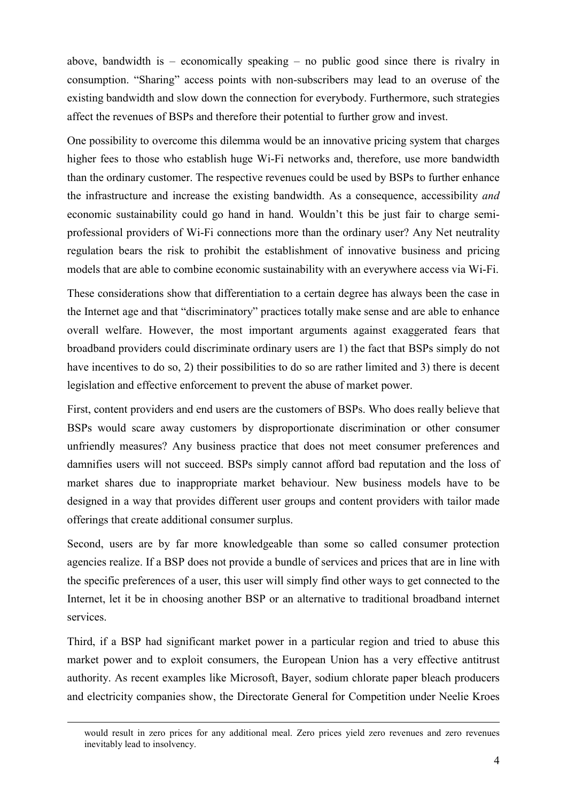above, bandwidth is – economically speaking – no public good since there is rivalry in consumption. "Sharing" access points with non-subscribers may lead to an overuse of the existing bandwidth and slow down the connection for everybody. Furthermore, such strategies affect the revenues of BSPs and therefore their potential to further grow and invest.

One possibility to overcome this dilemma would be an innovative pricing system that charges higher fees to those who establish huge Wi-Fi networks and, therefore, use more bandwidth than the ordinary customer. The respective revenues could be used by BSPs to further enhance the infrastructure and increase the existing bandwidth. As a consequence, accessibility *and* economic sustainability could go hand in hand. Wouldn't this be just fair to charge semiprofessional providers of Wi-Fi connections more than the ordinary user? Any Net neutrality regulation bears the risk to prohibit the establishment of innovative business and pricing models that are able to combine economic sustainability with an everywhere access via Wi-Fi.

These considerations show that differentiation to a certain degree has always been the case in the Internet age and that "discriminatory" practices totally make sense and are able to enhance overall welfare. However, the most important arguments against exaggerated fears that broadband providers could discriminate ordinary users are 1) the fact that BSPs simply do not have incentives to do so, 2) their possibilities to do so are rather limited and 3) there is decent legislation and effective enforcement to prevent the abuse of market power.

First, content providers and end users are the customers of BSPs. Who does really believe that BSPs would scare away customers by disproportionate discrimination or other consumer unfriendly measures? Any business practice that does not meet consumer preferences and damnifies users will not succeed. BSPs simply cannot afford bad reputation and the loss of market shares due to inappropriate market behaviour. New business models have to be designed in a way that provides different user groups and content providers with tailor made offerings that create additional consumer surplus.

Second, users are by far more knowledgeable than some so called consumer protection agencies realize. If a BSP does not provide a bundle of services and prices that are in line with the specific preferences of a user, this user will simply find other ways to get connected to the Internet, let it be in choosing another BSP or an alternative to traditional broadband internet services.

Third, if a BSP had significant market power in a particular region and tried to abuse this market power and to exploit consumers, the European Union has a very effective antitrust authority. As recent examples like Microsoft, Bayer, sodium chlorate paper bleach producers and electricity companies show, the Directorate General for Competition under Neelie Kroes

would result in zero prices for any additional meal. Zero prices yield zero revenues and zero revenues inevitably lead to insolvency.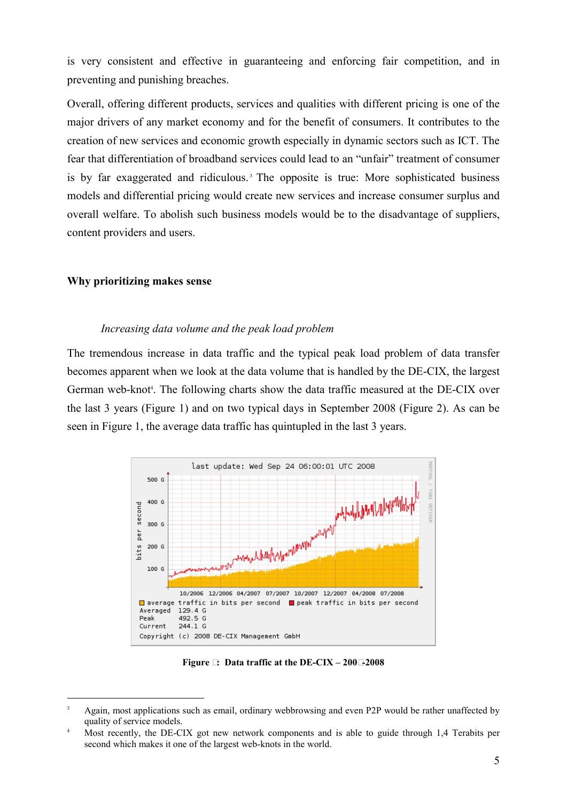is very consistent and effective in guaranteeing and enforcing fair competition, and in preventing and punishing breaches.

Overall, offering different products, services and qualities with different pricing is one of the major drivers of any market economy and for the benefit of consumers. It contributes to the creation of new services and economic growth especially in dynamic sectors such as ICT. The fear that differentiation of broadband services could lead to an "unfair" treatment of consumer is by far exaggerated and ridiculous.<sup>3</sup> The opposite is true: More sophisticated business models and differential pricing would create new services and increase consumer surplus and overall welfare. To abolish such business models would be to the disadvantage of suppliers, content providers and users.

#### **Why prioritizing makes sense**

 $\overline{a}$ 

#### *Increasing data volume and the peak load problem*

The tremendous increase in data traffic and the typical peak load problem of data transfer becomes apparent when we look at the data volume that is handled by the DE-CIX, the largest German web-knot . The following charts show the data traffic measured at the DE-CIX over the last 3 years (Figure 1) and on two typical days in September 2008 (Figure 2). As can be seen in Figure 1, the average data traffic has quintupled in the last 3 years.



**Figure 1: Data traffic at the DE-CIX – 2006-2008** 

<sup>3</sup>  Again, most applications such as email, ordinary webbrowsing and even P2P would be rather unaffected by quality of service models.

<sup>4</sup>  Most recently, the DE-CIX got new network components and is able to guide through 1,4 Terabits per second which makes it one of the largest web-knots in the world.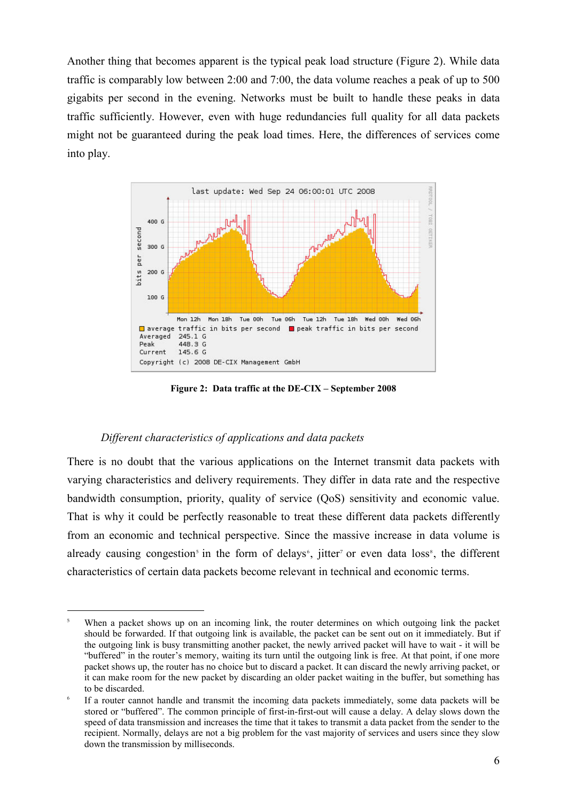Another thing that becomes apparent is the typical peak load structure (Figure 2). While data traffic is comparably low between 2:00 and 7:00, the data volume reaches a peak of up to 500 gigabits per second in the evening. Networks must be built to handle these peaks in data traffic sufficiently. However, even with huge redundancies full quality for all data packets might not be guaranteed during the peak load times. Here, the differences of services come into play.



**Figure 2: Data traffic at the DE-CIX – September 2008** 

#### *Different characteristics of applications and data packets*

 $\overline{a}$ 

There is no doubt that the various applications on the Internet transmit data packets with varying characteristics and delivery requirements. They differ in data rate and the respective bandwidth consumption, priority, quality of service (QoS) sensitivity and economic value. That is why it could be perfectly reasonable to treat these different data packets differently from an economic and technical perspective. Since the massive increase in data volume is already causing congestion<sup>5</sup> in the form of delays<sup>6</sup>, jitter<sup>7</sup> or even data loss<sup>8</sup>, the different characteristics of certain data packets become relevant in technical and economic terms.

<sup>5</sup>  When a packet shows up on an incoming link, the router determines on which outgoing link the packet should be forwarded. If that outgoing link is available, the packet can be sent out on it immediately. But if the outgoing link is busy transmitting another packet, the newly arrived packet will have to wait - it will be "buffered" in the router's memory, waiting its turn until the outgoing link is free. At that point, if one more packet shows up, the router has no choice but to discard a packet. It can discard the newly arriving packet, or it can make room for the new packet by discarding an older packet waiting in the buffer, but something has to be discarded.

<sup>6</sup>  If a router cannot handle and transmit the incoming data packets immediately, some data packets will be stored or "buffered". The common principle of first-in-first-out will cause a delay. A delay slows down the speed of data transmission and increases the time that it takes to transmit a data packet from the sender to the recipient. Normally, delays are not a big problem for the vast majority of services and users since they slow down the transmission by milliseconds.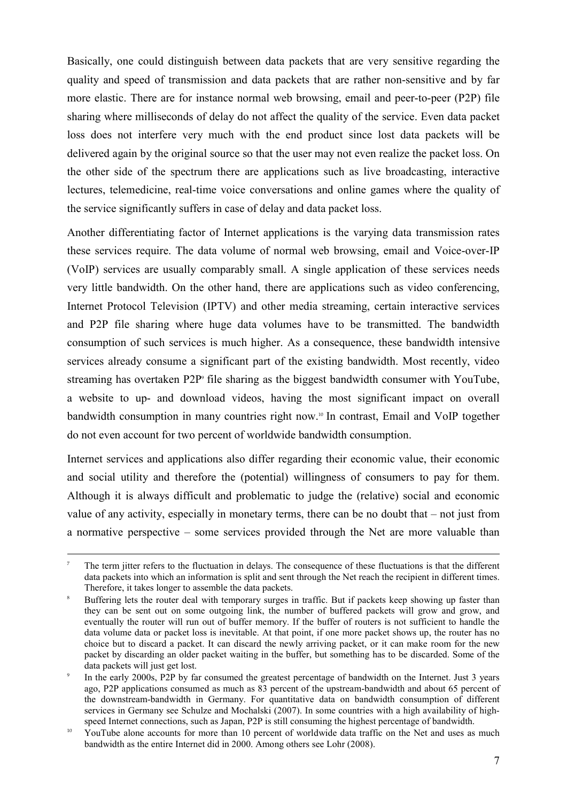Basically, one could distinguish between data packets that are very sensitive regarding the quality and speed of transmission and data packets that are rather non-sensitive and by far more elastic. There are for instance normal web browsing, email and peer-to-peer (P2P) file sharing where milliseconds of delay do not affect the quality of the service. Even data packet loss does not interfere very much with the end product since lost data packets will be delivered again by the original source so that the user may not even realize the packet loss. On the other side of the spectrum there are applications such as live broadcasting, interactive lectures, telemedicine, real-time voice conversations and online games where the quality of the service significantly suffers in case of delay and data packet loss.

Another differentiating factor of Internet applications is the varying data transmission rates these services require. The data volume of normal web browsing, email and Voice-over-IP (VoIP) services are usually comparably small. A single application of these services needs very little bandwidth. On the other hand, there are applications such as video conferencing, Internet Protocol Television (IPTV) and other media streaming, certain interactive services and P2P file sharing where huge data volumes have to be transmitted. The bandwidth consumption of such services is much higher. As a consequence, these bandwidth intensive services already consume a significant part of the existing bandwidth. Most recently, video streaming has overtaken P2P<sup>9</sup> file sharing as the biggest bandwidth consumer with YouTube, a website to up- and download videos, having the most significant impact on overall bandwidth consumption in many countries right now.<sup>10</sup> In contrast, Email and VoIP together do not even account for two percent of worldwide bandwidth consumption.

Internet services and applications also differ regarding their economic value, their economic and social utility and therefore the (potential) willingness of consumers to pay for them. Although it is always difficult and problematic to judge the (relative) social and economic value of any activity, especially in monetary terms, there can be no doubt that – not just from a normative perspective – some services provided through the Net are more valuable than

<sup>7</sup>  The term jitter refers to the fluctuation in delays. The consequence of these fluctuations is that the different data packets into which an information is split and sent through the Net reach the recipient in different times. Therefore, it takes longer to assemble the data packets.

g Buffering lets the router deal with temporary surges in traffic. But if packets keep showing up faster than they can be sent out on some outgoing link, the number of buffered packets will grow and grow, and eventually the router will run out of buffer memory. If the buffer of routers is not sufficient to handle the data volume data or packet loss is inevitable. At that point, if one more packet shows up, the router has no choice but to discard a packet. It can discard the newly arriving packet, or it can make room for the new packet by discarding an older packet waiting in the buffer, but something has to be discarded. Some of the data packets will just get lost.

<sup>9</sup>  In the early 2000s, P2P by far consumed the greatest percentage of bandwidth on the Internet. Just 3 years ago, P2P applications consumed as much as 83 percent of the upstream-bandwidth and about 65 percent of the downstream-bandwidth in Germany. For quantitative data on bandwidth consumption of different services in Germany see Schulze and Mochalski (2007). In some countries with a high availability of highspeed Internet connections, such as Japan, P2P is still consuming the highest percentage of bandwidth.

 $10\,$  YouTube alone accounts for more than 10 percent of worldwide data traffic on the Net and uses as much bandwidth as the entire Internet did in 2000. Among others see Lohr (2008).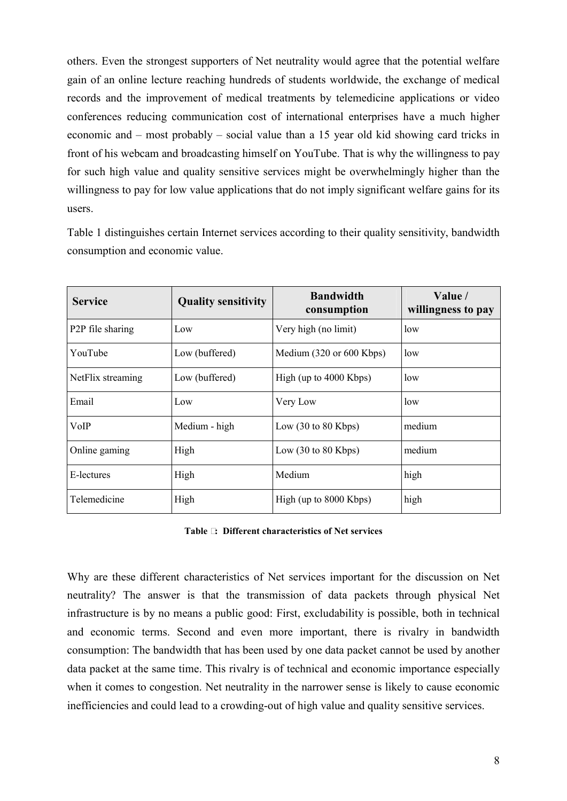others. Even the strongest supporters of Net neutrality would agree that the potential welfare gain of an online lecture reaching hundreds of students worldwide, the exchange of medical records and the improvement of medical treatments by telemedicine applications or video conferences reducing communication cost of international enterprises have a much higher economic and – most probably – social value than a 15 year old kid showing card tricks in front of his webcam and broadcasting himself on YouTube. That is why the willingness to pay for such high value and quality sensitive services might be overwhelmingly higher than the willingness to pay for low value applications that do not imply significant welfare gains for its users.

Table 1 distinguishes certain Internet services according to their quality sensitivity, bandwidth consumption and economic value.

| <b>Service</b>                | <b>Quality sensitivity</b> | <b>Bandwidth</b><br>consumption        | Value /<br>willingness to pay |  |
|-------------------------------|----------------------------|----------------------------------------|-------------------------------|--|
| P <sub>2</sub> P file sharing | Low                        | Very high (no limit)                   | low                           |  |
| YouTube                       | Low (buffered)             | Medium (320 or 600 Kbps)               | low                           |  |
| NetFlix streaming             | Low (buffered)             | High (up to 4000 Kbps)                 | low                           |  |
| Email                         | Low                        | Very Low                               | low                           |  |
| VoIP                          | Medium - high              | Low $(30 \text{ to } 80 \text{ Kbps})$ | medium                        |  |
| Online gaming                 | High                       | Low $(30 \text{ to } 80 \text{ Kbps})$ | medium                        |  |
| E-lectures                    | High                       | Medium                                 | high                          |  |
| Telemedicine                  | High                       | High (up to 8000 Kbps)                 | high                          |  |

Why are these different characteristics of Net services important for the discussion on Net neutrality? The answer is that the transmission of data packets through physical Net infrastructure is by no means a public good: First, excludability is possible, both in technical and economic terms. Second and even more important, there is rivalry in bandwidth consumption: The bandwidth that has been used by one data packet cannot be used by another data packet at the same time. This rivalry is of technical and economic importance especially when it comes to congestion. Net neutrality in the narrower sense is likely to cause economic inefficiencies and could lead to a crowding-out of high value and quality sensitive services.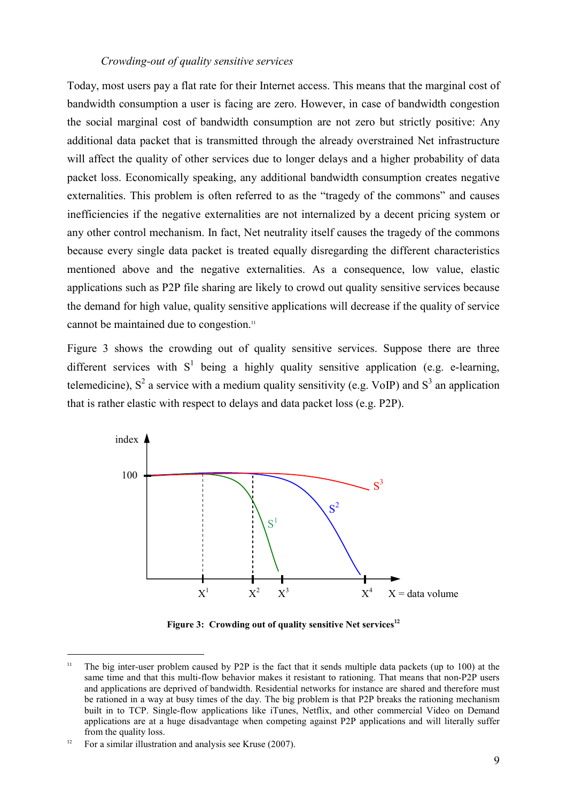#### *Crowding-out of quality sensitive services*

Today, most users pay a flat rate for their Internet access. This means that the marginal cost of bandwidth consumption a user is facing are zero. However, in case of bandwidth congestion the social marginal cost of bandwidth consumption are not zero but strictly positive: Any additional data packet that is transmitted through the already overstrained Net infrastructure will affect the quality of other services due to longer delays and a higher probability of data packet loss. Economically speaking, any additional bandwidth consumption creates negative externalities. This problem is often referred to as the "tragedy of the commons" and causes inefficiencies if the negative externalities are not internalized by a decent pricing system or any other control mechanism. In fact, Net neutrality itself causes the tragedy of the commons because every single data packet is treated equally disregarding the different characteristics mentioned above and the negative externalities. As a consequence, low value, elastic applications such as P2P file sharing are likely to crowd out quality sensitive services because the demand for high value, quality sensitive applications will decrease if the quality of service cannot be maintained due to congestion.

Figure 3 shows the crowding out of quality sensitive services. Suppose there are three different services with  $S^1$  being a highly quality sensitive application (e.g. e-learning, telemedicine),  $S^2$  a service with a medium quality sensitivity (e.g. VoIP) and  $S^3$  an application that is rather elastic with respect to delays and data packet loss (e.g. P2P).



**Figure 3: Crowding out of quality sensitive Net services-**

<sup>&</sup>lt;sup>11</sup> The big inter-user problem caused by P2P is the fact that it sends multiple data packets (up to 100) at the same time and that this multi-flow behavior makes it resistant to rationing. That means that non-P2P users and applications are deprived of bandwidth. Residential networks for instance are shared and therefore must be rationed in a way at busy times of the day. The big problem is that P2P breaks the rationing mechanism built in to TCP. Single-flow applications like iTunes, Netflix, and other commercial Video on Demand applications are at a huge disadvantage when competing against P2P applications and will literally suffer from the quality loss.

<sup>12</sup> For a similar illustration and analysis see Kruse (2007).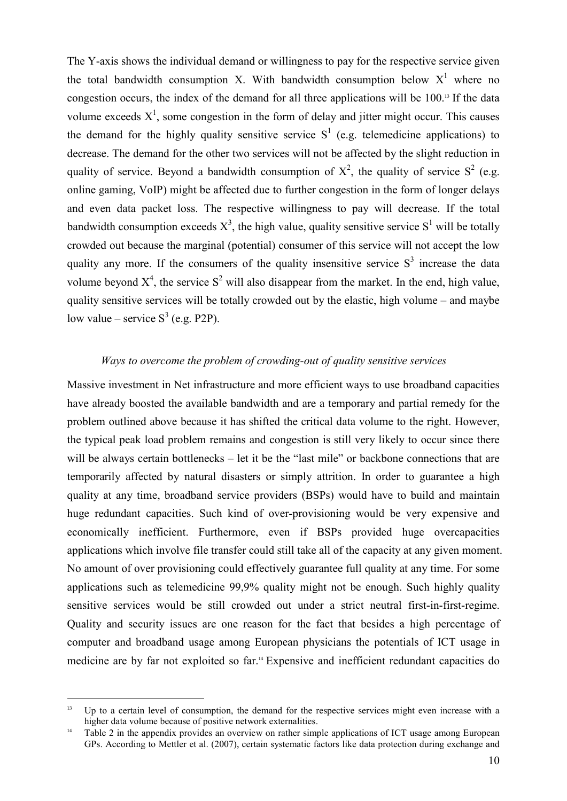The Y-axis shows the individual demand or willingness to pay for the respective service given the total bandwidth consumption X. With bandwidth consumption below  $X<sup>1</sup>$  where no congestion occurs, the index of the demand for all three applications will be  $100$ .<sup>13</sup> If the data volume exceeds  $X^1$ , some congestion in the form of delay and jitter might occur. This causes the demand for the highly quality sensitive service  $S<sup>1</sup>$  (e.g. telemedicine applications) to decrease. The demand for the other two services will not be affected by the slight reduction in quality of service. Beyond a bandwidth consumption of  $X^2$ , the quality of service  $S^2$  (e.g. online gaming, VoIP) might be affected due to further congestion in the form of longer delays and even data packet loss. The respective willingness to pay will decrease. If the total bandwidth consumption exceeds  $X^3$ , the high value, quality sensitive service  $S^1$  will be totally crowded out because the marginal (potential) consumer of this service will not accept the low quality any more. If the consumers of the quality insensitive service  $S<sup>3</sup>$  increase the data volume beyond  $X^4$ , the service  $S^2$  will also disappear from the market. In the end, high value, quality sensitive services will be totally crowded out by the elastic, high volume – and maybe low value – service  $S^3$  (e.g. P2P).

#### *Ways to overcome the problem of crowding-out of quality sensitive services*

Massive investment in Net infrastructure and more efficient ways to use broadband capacities have already boosted the available bandwidth and are a temporary and partial remedy for the problem outlined above because it has shifted the critical data volume to the right. However, the typical peak load problem remains and congestion is still very likely to occur since there will be always certain bottlenecks – let it be the "last mile" or backbone connections that are temporarily affected by natural disasters or simply attrition. In order to guarantee a high quality at any time, broadband service providers (BSPs) would have to build and maintain huge redundant capacities. Such kind of over-provisioning would be very expensive and economically inefficient. Furthermore, even if BSPs provided huge overcapacities applications which involve file transfer could still take all of the capacity at any given moment. No amount of over provisioning could effectively guarantee full quality at any time. For some applications such as telemedicine 99,9% quality might not be enough. Such highly quality sensitive services would be still crowded out under a strict neutral first-in-first-regime. Quality and security issues are one reason for the fact that besides a high percentage of computer and broadband usage among European physicians the potentials of ICT usage in medicine are by far not exploited so far.<sup>14</sup> Expensive and inefficient redundant capacities do

 $13$  Up to a certain level of consumption, the demand for the respective services might even increase with a higher data volume because of positive network externalities.

<sup>&</sup>lt;sup>14</sup> Table 2 in the appendix provides an overview on rather simple applications of ICT usage among European GPs. According to Mettler et al. (2007), certain systematic factors like data protection during exchange and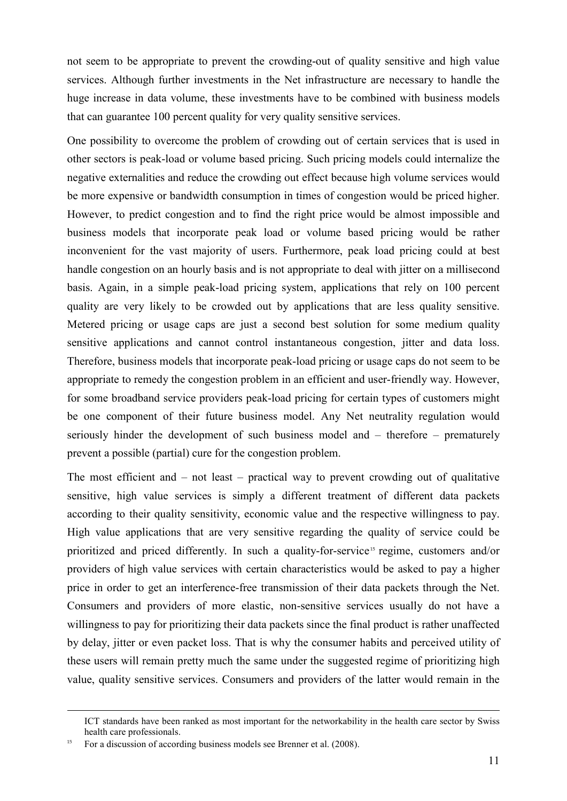not seem to be appropriate to prevent the crowding-out of quality sensitive and high value services. Although further investments in the Net infrastructure are necessary to handle the huge increase in data volume, these investments have to be combined with business models that can guarantee 100 percent quality for very quality sensitive services.

One possibility to overcome the problem of crowding out of certain services that is used in other sectors is peak-load or volume based pricing. Such pricing models could internalize the negative externalities and reduce the crowding out effect because high volume services would be more expensive or bandwidth consumption in times of congestion would be priced higher. However, to predict congestion and to find the right price would be almost impossible and business models that incorporate peak load or volume based pricing would be rather inconvenient for the vast majority of users. Furthermore, peak load pricing could at best handle congestion on an hourly basis and is not appropriate to deal with jitter on a millisecond basis. Again, in a simple peak-load pricing system, applications that rely on 100 percent quality are very likely to be crowded out by applications that are less quality sensitive. Metered pricing or usage caps are just a second best solution for some medium quality sensitive applications and cannot control instantaneous congestion, jitter and data loss. Therefore, business models that incorporate peak-load pricing or usage caps do not seem to be appropriate to remedy the congestion problem in an efficient and user-friendly way. However, for some broadband service providers peak-load pricing for certain types of customers might be one component of their future business model. Any Net neutrality regulation would seriously hinder the development of such business model and – therefore – prematurely prevent a possible (partial) cure for the congestion problem.

The most efficient and – not least – practical way to prevent crowding out of qualitative sensitive, high value services is simply a different treatment of different data packets according to their quality sensitivity, economic value and the respective willingness to pay. High value applications that are very sensitive regarding the quality of service could be prioritized and priced differently. In such a quality-for-service<sup>15</sup> regime, customers and/or providers of high value services with certain characteristics would be asked to pay a higher price in order to get an interference-free transmission of their data packets through the Net. Consumers and providers of more elastic, non-sensitive services usually do not have a willingness to pay for prioritizing their data packets since the final product is rather unaffected by delay, jitter or even packet loss. That is why the consumer habits and perceived utility of these users will remain pretty much the same under the suggested regime of prioritizing high value, quality sensitive services. Consumers and providers of the latter would remain in the

ICT standards have been ranked as most important for the networkability in the health care sector by Swiss health care professionals.

For a discussion of according business models see Brenner et al. (2008).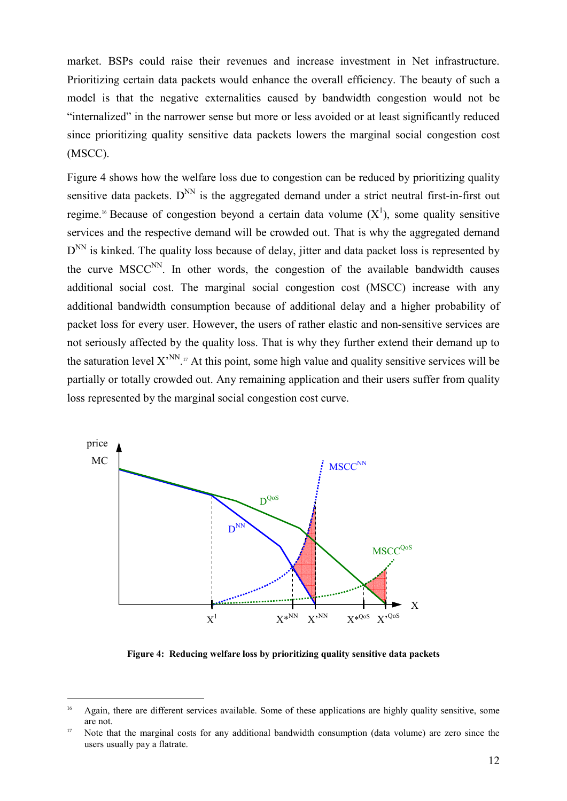market. BSPs could raise their revenues and increase investment in Net infrastructure. Prioritizing certain data packets would enhance the overall efficiency. The beauty of such a model is that the negative externalities caused by bandwidth congestion would not be "internalized" in the narrower sense but more or less avoided or at least significantly reduced since prioritizing quality sensitive data packets lowers the marginal social congestion cost (MSCC).

Figure 4 shows how the welfare loss due to congestion can be reduced by prioritizing quality sensitive data packets.  $D^{NN}$  is the aggregated demand under a strict neutral first-in-first out regime.<sup>16</sup> Because of congestion beyond a certain data volume  $(X^1)$ , some quality sensitive services and the respective demand will be crowded out. That is why the aggregated demand D<sup>NN</sup> is kinked. The quality loss because of delay, jitter and data packet loss is represented by the curve  $MSCC<sup>NN</sup>$ . In other words, the congestion of the available bandwidth causes additional social cost. The marginal social congestion cost (MSCC) increase with any additional bandwidth consumption because of additional delay and a higher probability of packet loss for every user. However, the users of rather elastic and non-sensitive services are not seriously affected by the quality loss. That is why they further extend their demand up to the saturation level  $X^{\text{NN}}$ .<sup>17</sup> At this point, some high value and quality sensitive services will be partially or totally crowded out. Any remaining application and their users suffer from quality loss represented by the marginal social congestion cost curve.



**Figure 4: Reducing welfare loss by prioritizing quality sensitive data packets** 

 $^{16}$  Again, there are different services available. Some of these applications are highly quality sensitive, some are not.

<sup>&</sup>lt;sup>17</sup> Note that the marginal costs for any additional bandwidth consumption (data volume) are zero since the users usually pay a flatrate.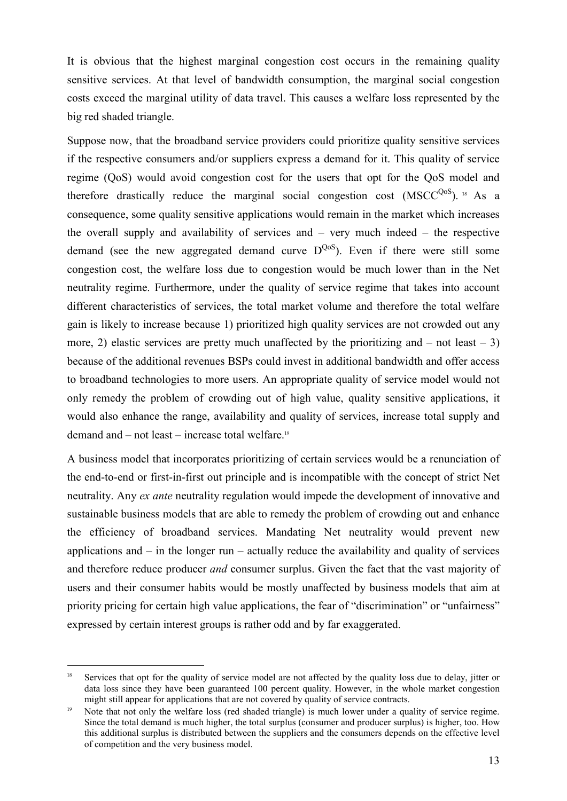It is obvious that the highest marginal congestion cost occurs in the remaining quality sensitive services. At that level of bandwidth consumption, the marginal social congestion costs exceed the marginal utility of data travel. This causes a welfare loss represented by the big red shaded triangle.

Suppose now, that the broadband service providers could prioritize quality sensitive services if the respective consumers and/or suppliers express a demand for it. This quality of service regime (QoS) would avoid congestion cost for the users that opt for the QoS model and therefore drastically reduce the marginal social congestion cost  $(MSCC<sup>QoS</sup>)$ . <sup>18</sup> As a consequence, some quality sensitive applications would remain in the market which increases the overall supply and availability of services and – very much indeed – the respective demand (see the new aggregated demand curve  $D^{QoS}$ ). Even if there were still some congestion cost, the welfare loss due to congestion would be much lower than in the Net neutrality regime. Furthermore, under the quality of service regime that takes into account different characteristics of services, the total market volume and therefore the total welfare gain is likely to increase because 1) prioritized high quality services are not crowded out any more, 2) elastic services are pretty much unaffected by the prioritizing and – not least – 3) because of the additional revenues BSPs could invest in additional bandwidth and offer access to broadband technologies to more users. An appropriate quality of service model would not only remedy the problem of crowding out of high value, quality sensitive applications, it would also enhance the range, availability and quality of services, increase total supply and demand and – not least – increase total welfare. 

A business model that incorporates prioritizing of certain services would be a renunciation of the end-to-end or first-in-first out principle and is incompatible with the concept of strict Net neutrality. Any *ex ante* neutrality regulation would impede the development of innovative and sustainable business models that are able to remedy the problem of crowding out and enhance the efficiency of broadband services. Mandating Net neutrality would prevent new applications and  $-$  in the longer run  $-$  actually reduce the availability and quality of services and therefore reduce producer *and* consumer surplus. Given the fact that the vast majority of users and their consumer habits would be mostly unaffected by business models that aim at priority pricing for certain high value applications, the fear of "discrimination" or "unfairness" expressed by certain interest groups is rather odd and by far exaggerated.

Services that opt for the quality of service model are not affected by the quality loss due to delay, jitter or data loss since they have been guaranteed 100 percent quality. However, in the whole market congestion might still appear for applications that are not covered by quality of service contracts.

 Note that not only the welfare loss (red shaded triangle) is much lower under a quality of service regime. Since the total demand is much higher, the total surplus (consumer and producer surplus) is higher, too. How this additional surplus is distributed between the suppliers and the consumers depends on the effective level of competition and the very business model.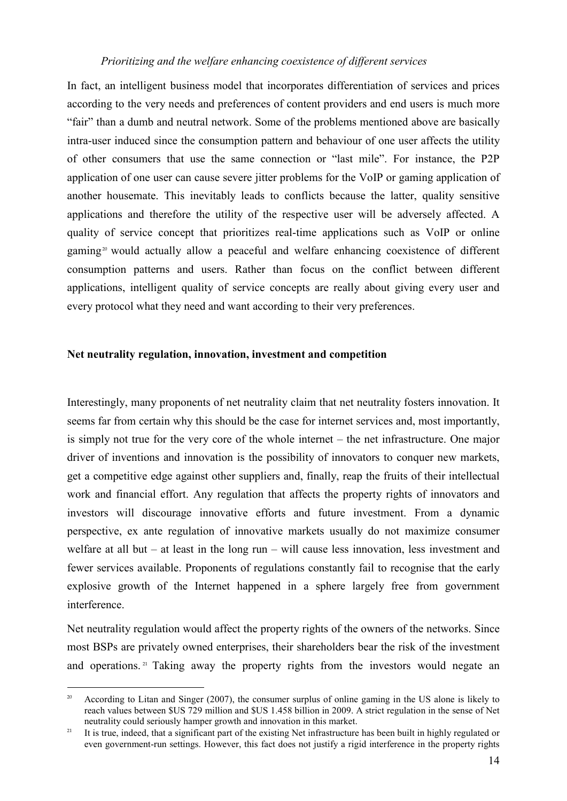#### *Prioritizing and the welfare enhancing coexistence of different services*

In fact, an intelligent business model that incorporates differentiation of services and prices according to the very needs and preferences of content providers and end users is much more "fair" than a dumb and neutral network. Some of the problems mentioned above are basically intra-user induced since the consumption pattern and behaviour of one user affects the utility of other consumers that use the same connection or "last mile". For instance, the P2P application of one user can cause severe jitter problems for the VoIP or gaming application of another housemate. This inevitably leads to conflicts because the latter, quality sensitive applications and therefore the utility of the respective user will be adversely affected. A quality of service concept that prioritizes real-time applications such as VoIP or online gaming<sup>20</sup> would actually allow a peaceful and welfare enhancing coexistence of different consumption patterns and users. Rather than focus on the conflict between different applications, intelligent quality of service concepts are really about giving every user and every protocol what they need and want according to their very preferences.

#### **Net neutrality regulation, innovation, investment and competition**

Interestingly, many proponents of net neutrality claim that net neutrality fosters innovation. It seems far from certain why this should be the case for internet services and, most importantly, is simply not true for the very core of the whole internet – the net infrastructure. One major driver of inventions and innovation is the possibility of innovators to conquer new markets, get a competitive edge against other suppliers and, finally, reap the fruits of their intellectual work and financial effort. Any regulation that affects the property rights of innovators and investors will discourage innovative efforts and future investment. From a dynamic perspective, ex ante regulation of innovative markets usually do not maximize consumer welfare at all but – at least in the long run – will cause less innovation, less investment and fewer services available. Proponents of regulations constantly fail to recognise that the early explosive growth of the Internet happened in a sphere largely free from government interference.

Net neutrality regulation would affect the property rights of the owners of the networks. Since most BSPs are privately owned enterprises, their shareholders bear the risk of the investment and operations.<sup>21</sup> Taking away the property rights from the investors would negate an

 $\overline{a}$ 20 According to Litan and Singer (2007), the consumer surplus of online gaming in the US alone is likely to reach values between \$US 729 million and \$US 1.458 billion in 2009. A strict regulation in the sense of Net neutrality could seriously hamper growth and innovation in this market.

<sup>-</sup> It is true, indeed, that a significant part of the existing Net infrastructure has been built in highly regulated or even government-run settings. However, this fact does not justify a rigid interference in the property rights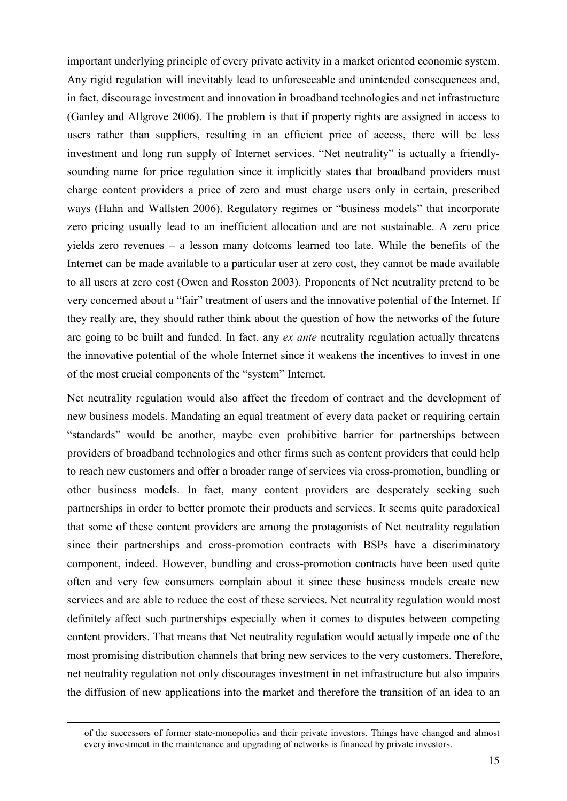important underlying principle of every private activity in a market oriented economic system. Any rigid regulation will inevitably lead to unforeseeable and unintended consequences and, in fact, discourage investment and innovation in broadband technologies and net infrastructure (Ganley and Allgrove 2006). The problem is that if property rights are assigned in access to users rather than suppliers, resulting in an efficient price of access, there will be less investment and long run supply of Internet services. "Net neutrality" is actually a friendlysounding name for price regulation since it implicitly states that broadband providers must charge content providers a price of zero and must charge users only in certain, prescribed ways (Hahn and Wallsten 2006). Regulatory regimes or "business models" that incorporate zero pricing usually lead to an inefficient allocation and are not sustainable. A zero price yields zero revenues – a lesson many dotcoms learned too late. While the benefits of the Internet can be made available to a particular user at zero cost, they cannot be made available to all users at zero cost (Owen and Rosston 2003). Proponents of Net neutrality pretend to be very concerned about a "fair" treatment of users and the innovative potential of the Internet. If they really are, they should rather think about the question of how the networks of the future are going to be built and funded. In fact, any *ex ante* neutrality regulation actually threatens the innovative potential of the whole Internet since it weakens the incentives to invest in one of the most crucial components of the "system" Internet.

Net neutrality regulation would also affect the freedom of contract and the development of new business models. Mandating an equal treatment of every data packet or requiring certain "standards" would be another, maybe even prohibitive barrier for partnerships between providers of broadband technologies and other firms such as content providers that could help to reach new customers and offer a broader range of services via cross-promotion, bundling or other business models. In fact, many content providers are desperately seeking such partnerships in order to better promote their products and services. It seems quite paradoxical that some of these content providers are among the protagonists of Net neutrality regulation since their partnerships and cross-promotion contracts with BSPs have a discriminatory component, indeed. However, bundling and cross-promotion contracts have been used quite often and very few consumers complain about it since these business models create new services and are able to reduce the cost of these services. Net neutrality regulation would most definitely affect such partnerships especially when it comes to disputes between competing content providers. That means that Net neutrality regulation would actually impede one of the most promising distribution channels that bring new services to the very customers. Therefore, net neutrality regulation not only discourages investment in net infrastructure but also impairs the diffusion of new applications into the market and therefore the transition of an idea to an

of the successors of former state-monopolies and their private investors. Things have changed and almost every investment in the maintenance and upgrading of networks is financed by private investors.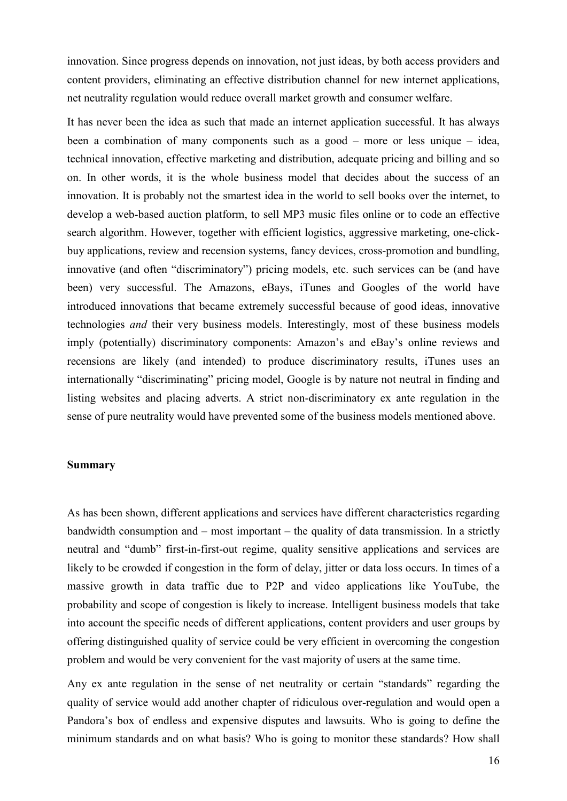innovation. Since progress depends on innovation, not just ideas, by both access providers and content providers, eliminating an effective distribution channel for new internet applications, net neutrality regulation would reduce overall market growth and consumer welfare.

It has never been the idea as such that made an internet application successful. It has always been a combination of many components such as a good – more or less unique – idea, technical innovation, effective marketing and distribution, adequate pricing and billing and so on. In other words, it is the whole business model that decides about the success of an innovation. It is probably not the smartest idea in the world to sell books over the internet, to develop a web-based auction platform, to sell MP3 music files online or to code an effective search algorithm. However, together with efficient logistics, aggressive marketing, one-clickbuy applications, review and recension systems, fancy devices, cross-promotion and bundling, innovative (and often "discriminatory") pricing models, etc. such services can be (and have been) very successful. The Amazons, eBays, iTunes and Googles of the world have introduced innovations that became extremely successful because of good ideas, innovative technologies *and* their very business models. Interestingly, most of these business models imply (potentially) discriminatory components: Amazon's and eBay's online reviews and recensions are likely (and intended) to produce discriminatory results, iTunes uses an internationally "discriminating" pricing model, Google is by nature not neutral in finding and listing websites and placing adverts. A strict non-discriminatory ex ante regulation in the sense of pure neutrality would have prevented some of the business models mentioned above.

#### **Summary**

As has been shown, different applications and services have different characteristics regarding bandwidth consumption and – most important – the quality of data transmission. In a strictly neutral and "dumb" first-in-first-out regime, quality sensitive applications and services are likely to be crowded if congestion in the form of delay, jitter or data loss occurs. In times of a massive growth in data traffic due to P2P and video applications like YouTube, the probability and scope of congestion is likely to increase. Intelligent business models that take into account the specific needs of different applications, content providers and user groups by offering distinguished quality of service could be very efficient in overcoming the congestion problem and would be very convenient for the vast majority of users at the same time.

Any ex ante regulation in the sense of net neutrality or certain "standards" regarding the quality of service would add another chapter of ridiculous over-regulation and would open a Pandora's box of endless and expensive disputes and lawsuits. Who is going to define the minimum standards and on what basis? Who is going to monitor these standards? How shall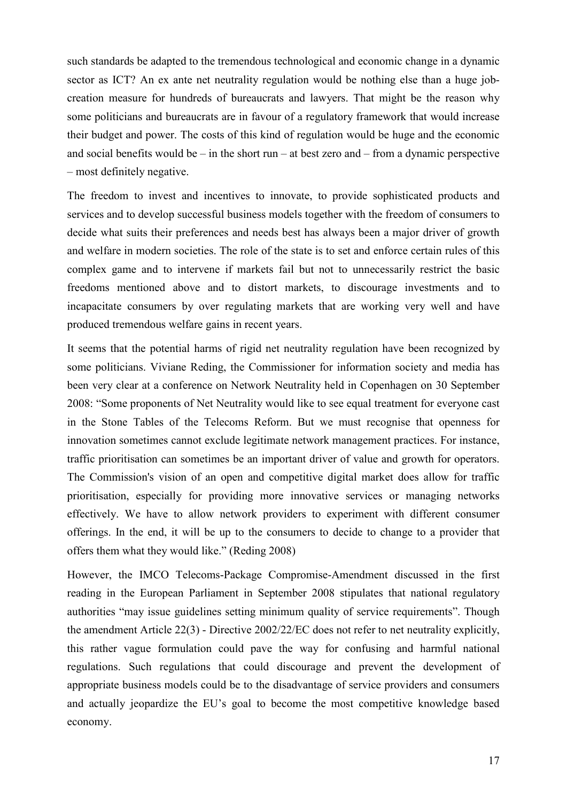such standards be adapted to the tremendous technological and economic change in a dynamic sector as ICT? An ex ante net neutrality regulation would be nothing else than a huge jobcreation measure for hundreds of bureaucrats and lawyers. That might be the reason why some politicians and bureaucrats are in favour of a regulatory framework that would increase their budget and power. The costs of this kind of regulation would be huge and the economic and social benefits would be – in the short run – at best zero and – from a dynamic perspective – most definitely negative.

The freedom to invest and incentives to innovate, to provide sophisticated products and services and to develop successful business models together with the freedom of consumers to decide what suits their preferences and needs best has always been a major driver of growth and welfare in modern societies. The role of the state is to set and enforce certain rules of this complex game and to intervene if markets fail but not to unnecessarily restrict the basic freedoms mentioned above and to distort markets, to discourage investments and to incapacitate consumers by over regulating markets that are working very well and have produced tremendous welfare gains in recent years.

It seems that the potential harms of rigid net neutrality regulation have been recognized by some politicians. Viviane Reding, the Commissioner for information society and media has been very clear at a conference on Network Neutrality held in Copenhagen on 30 September 2008: "Some proponents of Net Neutrality would like to see equal treatment for everyone cast in the Stone Tables of the Telecoms Reform. But we must recognise that openness for innovation sometimes cannot exclude legitimate network management practices. For instance, traffic prioritisation can sometimes be an important driver of value and growth for operators. The Commission's vision of an open and competitive digital market does allow for traffic prioritisation, especially for providing more innovative services or managing networks effectively. We have to allow network providers to experiment with different consumer offerings. In the end, it will be up to the consumers to decide to change to a provider that offers them what they would like." (Reding 2008)

However, the IMCO Telecoms-Package Compromise-Amendment discussed in the first reading in the European Parliament in September 2008 stipulates that national regulatory authorities "may issue guidelines setting minimum quality of service requirements". Though the amendment Article 22(3) - Directive 2002/22/EC does not refer to net neutrality explicitly, this rather vague formulation could pave the way for confusing and harmful national regulations. Such regulations that could discourage and prevent the development of appropriate business models could be to the disadvantage of service providers and consumers and actually jeopardize the EU's goal to become the most competitive knowledge based economy.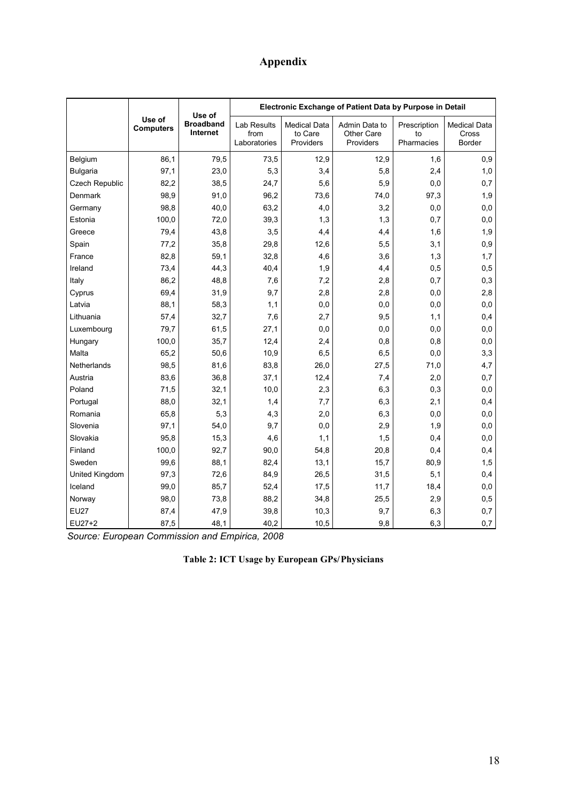## **Appendix**

|                            |                              | Use of                                     | Electronic Exchange of Patient Data by Purpose in Detail |                                          |                                  |                                        |      |
|----------------------------|------------------------------|--------------------------------------------|----------------------------------------------------------|------------------------------------------|----------------------------------|----------------------------------------|------|
| Use of<br><b>Computers</b> | <b>Broadband</b><br>Internet | <b>Lab Results</b><br>from<br>Laboratories | <b>Medical Data</b><br>to Care<br>Providers              | Admin Data to<br>Other Care<br>Providers | Prescription<br>to<br>Pharmacies | <b>Medical Data</b><br>Cross<br>Border |      |
| Belgium                    | 86,1                         | 79,5                                       | 73,5                                                     | 12,9                                     | 12,9                             | 1,6                                    | 0,9  |
| <b>Bulgaria</b>            | 97,1                         | 23,0                                       | 5,3                                                      | 3,4                                      | 5,8                              | 2,4                                    | 1,0  |
| Czech Republic             | 82,2                         | 38,5                                       | 24,7                                                     | 5,6                                      | 5,9                              | 0,0                                    | 0,7  |
| Denmark                    | 98,9                         | 91,0                                       | 96,2                                                     | 73,6                                     | 74,0                             | 97,3                                   | 1,9  |
| Germany                    | 98,8                         | 40,0                                       | 63,2                                                     | 4,0                                      | 3,2                              | 0,0                                    | 0, 0 |
| Estonia                    | 100,0                        | 72,0                                       | 39,3                                                     | 1,3                                      | 1,3                              | 0,7                                    | 0,0  |
| Greece                     | 79,4                         | 43,8                                       | 3,5                                                      | 4,4                                      | 4,4                              | 1,6                                    | 1,9  |
| Spain                      | 77,2                         | 35,8                                       | 29,8                                                     | 12,6                                     | 5,5                              | 3,1                                    | 0,9  |
| France                     | 82,8                         | 59,1                                       | 32,8                                                     | 4,6                                      | 3,6                              | 1,3                                    | 1,7  |
| Ireland                    | 73,4                         | 44,3                                       | 40,4                                                     | 1,9                                      | 4,4                              | 0,5                                    | 0,5  |
| Italy                      | 86,2                         | 48,8                                       | 7,6                                                      | 7,2                                      | 2,8                              | 0,7                                    | 0,3  |
| Cyprus                     | 69,4                         | 31,9                                       | 9,7                                                      | 2,8                                      | 2,8                              | 0,0                                    | 2,8  |
| Latvia                     | 88,1                         | 58,3                                       | 1,1                                                      | 0,0                                      | 0,0                              | 0,0                                    | 0,0  |
| Lithuania                  | 57,4                         | 32,7                                       | 7,6                                                      | 2,7                                      | 9,5                              | 1,1                                    | 0,4  |
| Luxembourg                 | 79,7                         | 61,5                                       | 27,1                                                     | 0,0                                      | 0,0                              | 0,0                                    | 0, 0 |
| Hungary                    | 100,0                        | 35,7                                       | 12,4                                                     | 2,4                                      | 0,8                              | 0,8                                    | 0,0  |
| Malta                      | 65,2                         | 50,6                                       | 10,9                                                     | 6, 5                                     | 6,5                              | 0,0                                    | 3,3  |
| <b>Netherlands</b>         | 98,5                         | 81,6                                       | 83,8                                                     | 26,0                                     | 27,5                             | 71,0                                   | 4,7  |
| Austria                    | 83,6                         | 36,8                                       | 37,1                                                     | 12,4                                     | 7,4                              | 2,0                                    | 0,7  |
| Poland                     | 71,5                         | 32,1                                       | 10,0                                                     | 2,3                                      | 6,3                              | 0,3                                    | 0,0  |
| Portugal                   | 88,0                         | 32,1                                       | 1,4                                                      | 7,7                                      | 6,3                              | 2,1                                    | 0,4  |
| Romania                    | 65,8                         | 5,3                                        | 4,3                                                      | 2,0                                      | 6,3                              | 0,0                                    | 0,0  |
| Slovenia                   | 97,1                         | 54,0                                       | 9,7                                                      | 0,0                                      | 2,9                              | 1,9                                    | 0, 0 |
| Slovakia                   | 95,8                         | 15,3                                       | 4,6                                                      | 1,1                                      | 1,5                              | 0,4                                    | 0, 0 |
| Finland                    | 100,0                        | 92,7                                       | 90,0                                                     | 54,8                                     | 20,8                             | 0,4                                    | 0,4  |
| Sweden                     | 99,6                         | 88,1                                       | 82,4                                                     | 13,1                                     | 15,7                             | 80,9                                   | 1,5  |
| United Kingdom             | 97,3                         | 72,6                                       | 84,9                                                     | 26,5                                     | 31,5                             | 5,1                                    | 0,4  |
| Iceland                    | 99,0                         | 85,7                                       | 52,4                                                     | 17,5                                     | 11,7                             | 18,4                                   | 0,0  |
| Norway                     | 98,0                         | 73,8                                       | 88,2                                                     | 34,8                                     | 25,5                             | 2,9                                    | 0,5  |
| <b>EU27</b>                | 87,4                         | 47,9                                       | 39,8                                                     | 10,3                                     | 9,7                              | 6,3                                    | 0,7  |
| EU27+2                     | 87,5                         | 48,1                                       | 40,2                                                     | 10,5                                     | 9,8                              | 6,3                                    | 0,7  |

*Source: European Commission and Empirica, 2008* 

**Table 2: ICT Usage by European GPs/Physicians**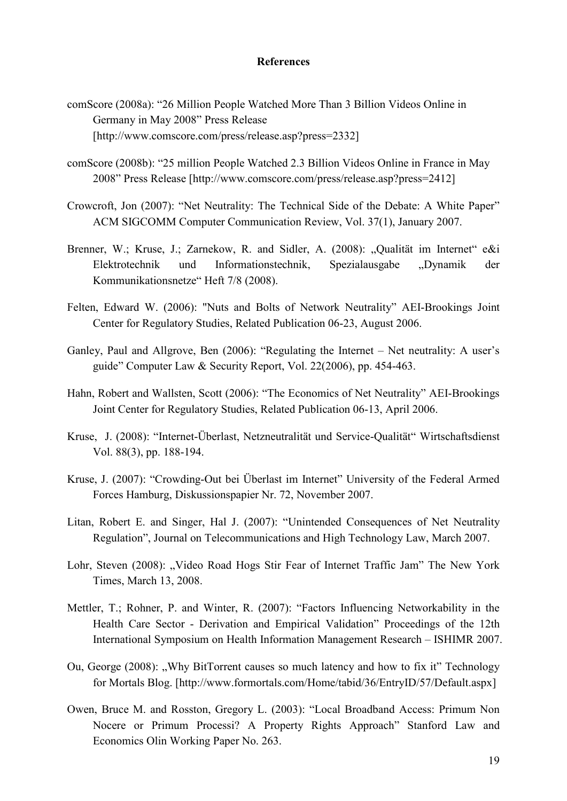#### **References**

- comScore (2008a): "26 Million People Watched More Than 3 Billion Videos Online in Germany in May 2008" Press Release [http://www.comscore.com/press/release.asp?press=2332]
- comScore (2008b): "25 million People Watched 2.3 Billion Videos Online in France in May 2008" Press Release [http://www.comscore.com/press/release.asp?press=2412]
- Crowcroft, Jon (2007): "Net Neutrality: The Technical Side of the Debate: A White Paper" ACM SIGCOMM Computer Communication Review, Vol. 37(1), January 2007.
- Brenner, W.; Kruse, J.; Zarnekow, R. and Sidler, A. (2008): "Qualität im Internet" e&i Elektrotechnik und Informationstechnik, Spezialausgabe "Dynamik der Kommunikationsnetze" Heft 7/8 (2008).
- Felten, Edward W. (2006): "Nuts and Bolts of Network Neutrality" AEI-Brookings Joint Center for Regulatory Studies, Related Publication 06-23, August 2006.
- Ganley, Paul and Allgrove, Ben (2006): "Regulating the Internet Net neutrality: A user's guide" Computer Law & Security Report, Vol. 22(2006), pp. 454-463.
- Hahn, Robert and Wallsten, Scott (2006): "The Economics of Net Neutrality" AEI-Brookings Joint Center for Regulatory Studies, Related Publication 06-13, April 2006.
- Kruse, J. (2008): "Internet-Überlast, Netzneutralität und Service-Qualität" Wirtschaftsdienst Vol. 88(3), pp. 188-194.
- Kruse, J. (2007): "Crowding-Out bei Überlast im Internet" University of the Federal Armed Forces Hamburg, Diskussionspapier Nr. 72, November 2007.
- Litan, Robert E. and Singer, Hal J. (2007): "Unintended Consequences of Net Neutrality Regulation", Journal on Telecommunications and High Technology Law, March 2007.
- Lohr, Steven (2008): "Video Road Hogs Stir Fear of Internet Traffic Jam" The New York Times, March 13, 2008.
- Mettler, T.; Rohner, P. and Winter, R. (2007): "Factors Influencing Networkability in the Health Care Sector - Derivation and Empirical Validation" Proceedings of the 12th International Symposium on Health Information Management Research – ISHIMR 2007.
- Ou, George (2008): "Why BitTorrent causes so much latency and how to fix it" Technology for Mortals Blog. [http://www.formortals.com/Home/tabid/36/EntryID/57/Default.aspx]
- Owen, Bruce M. and Rosston, Gregory L. (2003): "Local Broadband Access: Primum Non Nocere or Primum Processi? A Property Rights Approach" Stanford Law and Economics Olin Working Paper No. 263.